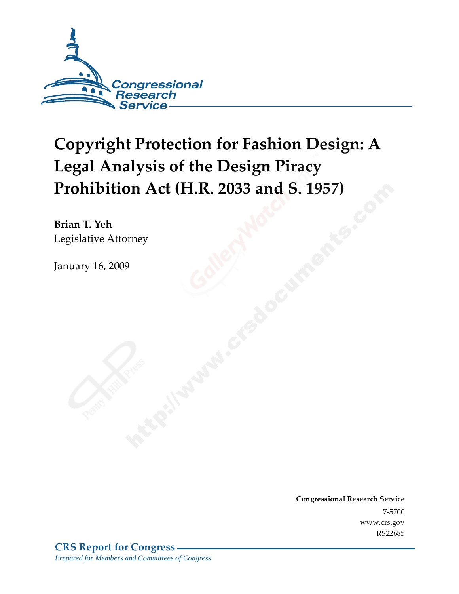

# **Copyright Protection for Fashion Design: A Legal Analysis of the Design Piracy** Prohibition Act (H.R. 2033 and S. 1957)

Brian T. Yeh Legislative Attorney

**January 16, 2009** 

**Congressional Research Service** 7-5700 www.crs.gov RS22685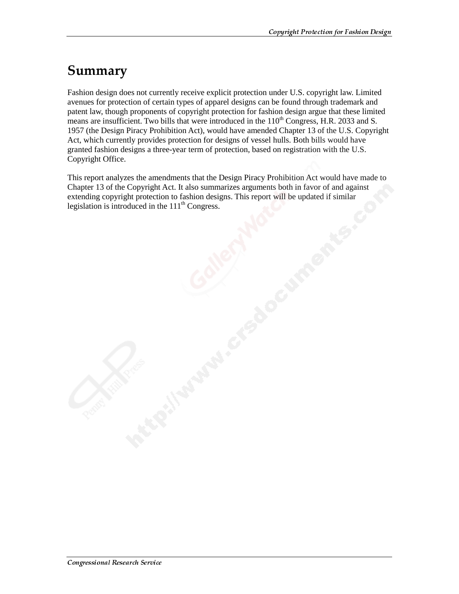### Summary

Fashion design does not currently receive explicit protection under U.S. copyright law. Limited avenues for protection of certain types of apparel designs can be found through trademark and patent law, though proponents of copyright protection for fashion design argue that these limited means are insufficient. Two bills that were introduced in the  $110<sup>th</sup>$  Congress, H.R. 2033 and S. 1957 (the Design Piracy Prohibition Act), would have amended Chapter 13 of the U.S. Copyright Act, which currently provides protection for designs of vessel hulls. Both bills would have granted fashion designs a three-year term of protection, based on registration with the U.S. Copyright Office.

This report analyzes the amendments that the Design Piracy Prohibition Act would have made to Chapter 13 of the Copyright Act. It also summarizes arguments both in favor of and against extending copyright protection to fashion designs. This report will be updated if similar legislation is introduced in the  $111<sup>th</sup> Congress.$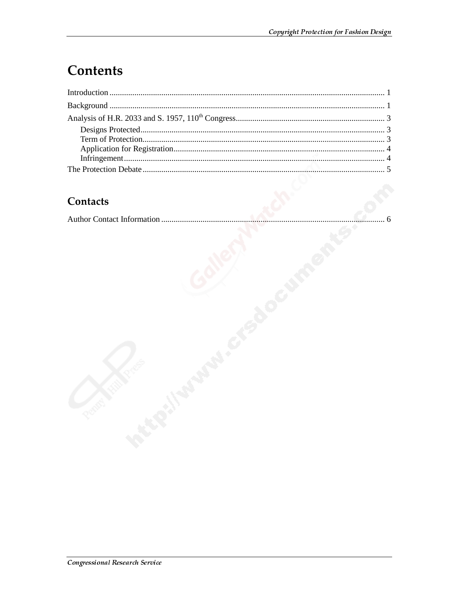## **Contents**

#### **Contacts**

|--|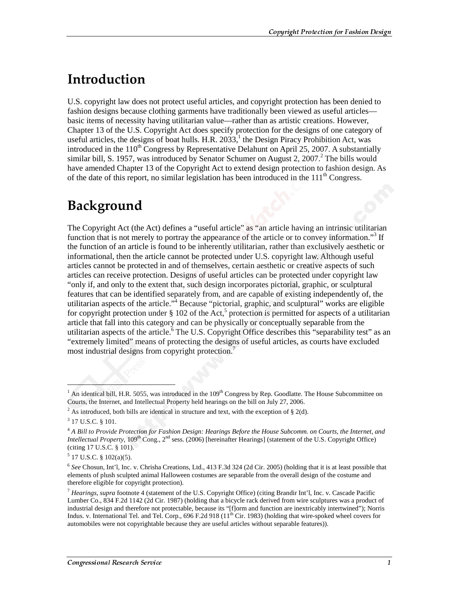### <u>Introduction</u>

U.S. copyright law does not protect useful articles, and copyright protection has been denied to fashion designs because clothing garments have traditionally been viewed as useful articles basic items of necessity having utilitarian value—rather than as artistic creations. However, Chapter 13 of the U.S. Copyright Act does specify protection for the designs of one category of useful articles, the designs of boat hulls. H.R.  $2033$ , the Design Piracy Prohibition Act, was introduced in the  $110<sup>th</sup>$  Congress by Representative Delahunt on April 25, 2007. A substantially similar bill, S. 1957, was introduced by Senator Schumer on August 2, 2007.<sup>2</sup> The bills would have amended Chapter 13 of the Copyright Act to extend design protection to fashion design. As of the date of this report, no similar legislation has been introduced in the  $111<sup>th</sup>$  Congress.

### Background

The Copyright Act (the Act) defines a "useful article" as "an article having an intrinsic utilitarian function that is not merely to portray the appearance of the article or to convey information."<sup>3</sup> If the function of an article is found to be inherently utilitarian, rather than exclusively aesthetic or informational, then the article cannot be protected under U.S. copyright law. Although useful articles cannot be protected in and of themselves, certain aesthetic or creative aspects of such articles can receive protection. Designs of useful articles can be protected under copyright law "only if, and only to the extent that, such design incorporates pictorial, graphic, or sculptural features that can be identified separately from, and are capable of existing independently of, the utilitarian aspects of the article."<sup>4</sup> Because "pictorial, graphic, and sculptural" works are eligible for copyright protection under  $\S 102$  of the Act,<sup>5</sup> protection is permitted for aspects of a utilitarian article that fall into this category and can be physically or conceptually separable from the utilitarian aspects of the article. The U.S. Copyright Office describes this "separability test" as an "extremely limited" means of protecting the designs of useful articles, as courts have excluded most industrial designs from copyright protection.<sup>7</sup>

 $\overline{a}$ 

 $<sup>1</sup>$  An identical bill, H.R. 5055, was introduced in the  $109<sup>th</sup>$  Congress by Rep. Goodlatte. The House Subcommittee on</sup> Courts, the Internet, and Intellectual Property held hearings on the bill on July 27, 2006.

<sup>&</sup>lt;sup>2</sup> As introduced, both bills are identical in structure and text, with the exception of  $\S 2(d)$ .

<sup>&</sup>lt;sup>3</sup> 17 U.S.C. § 101.

<sup>4</sup> *A Bill to Provide Protection for Fashion Design: Hearings Before the House Subcomm. on Courts, the Internet, and Intellectual Property,* 109<sup>th</sup> Cong., 2<sup>nd</sup> sess. (2006) [hereinafter Hearings] (statement of the U.S. Copyright Office) (citing 17 U.S.C. § 101).

 $5$  17 U.S.C. § 102(a)(5).

<sup>6</sup> *See* Chosun, Int'l, Inc. v. Chrisha Creations, Ltd., 413 F.3d 324 (2d Cir. 2005) (holding that it is at least possible that elements of plush sculpted animal Halloween costumes are separable from the overall design of the costume and therefore eligible for copyright protection).

<sup>7</sup> *Hearings*, *supra* footnote 4 (statement of the U.S. Copyright Office) (citing Brandir Int'l, Inc. v. Cascade Pacific Lumber Co., 834 F.2d 1142 (2d Cir. 1987) (holding that a bicycle rack derived from wire sculptures was a product of industrial design and therefore not protectable, because its "[f]orm and function are inextricably intertwined"); Norris Indus. v. International Tel. and Tel. Corp., 696 F.2d 918  $(11<sup>th</sup>$  Cir. 1983) (holding that wire-spoked wheel covers for automobiles were not copyrightable because they are useful articles without separable features)).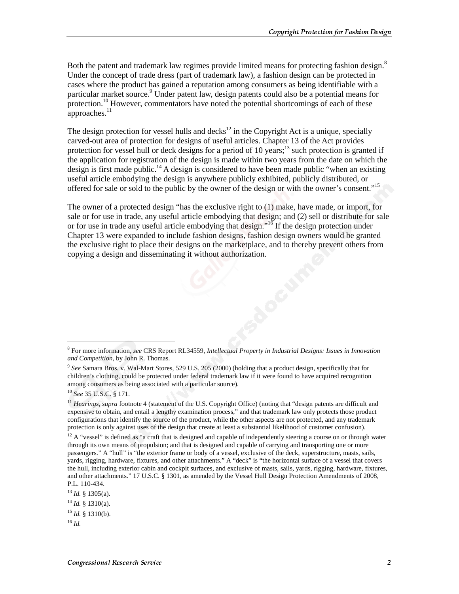Both the patent and trademark law regimes provide limited means for protecting fashion design.<sup>8</sup> Under the concept of trade dress (part of trademark law), a fashion design can be protected in cases where the product has gained a reputation among consumers as being identifiable with a particular market source.<sup>9</sup> Under patent law, design patents could also be a potential means for protection.<sup>10</sup> However, commentators have noted the potential shortcomings of each of these approaches. $^{11}$ 

The design protection for vessel hulls and decks<sup>12</sup> in the Copyright Act is a unique, specially carved-out area of protection for designs of useful articles. Chapter 13 of the Act provides protection for vessel hull or deck designs for a period of 10 years;<sup>13</sup> such protection is granted if the application for registration of the design is made within two years from the date on which the design is first made public.<sup>14</sup> A design is considered to have been made public "when an existing" useful article embodying the design is anywhere publicly exhibited, publicly distributed, or offered for sale or sold to the public by the owner of the design or with the owner's consent."15

The owner of a protected design "has the exclusive right to (1) make, have made, or import, for sale or for use in trade, any useful article embodying that design; and (2) sell or distribute for sale or for use in trade any useful article embodying that design."16 If the design protection under Chapter 13 were expanded to include fashion designs, fashion design owners would be granted the exclusive right to place their designs on the marketplace, and to thereby prevent others from copying a design and disseminating it without authorization.

j

<sup>8</sup> For more information, *see* CRS Report RL34559, *Intellectual Property in Industrial Designs: Issues in Innovation and Competition*, by John R. Thomas.

<sup>9</sup> *See* Samara Bros. v. Wal-Mart Stores, 529 U.S. 205 (2000) (holding that a product design, specifically that for children's clothing, could be protected under federal trademark law if it were found to have acquired recognition among consumers as being associated with a particular source).

<sup>10</sup> *See* 35 U.S.C. § 171.

<sup>&</sup>lt;sup>11</sup> *Hearings, supra* footnote 4 (statement of the U.S. Copyright Office) (noting that "design patents are difficult and expensive to obtain, and entail a lengthy examination process," and that trademark law only protects those product configurations that identify the source of the product, while the other aspects are not protected, and any trademark protection is only against uses of the design that create at least a substantial likelihood of customer confusion).

 $12$  A "vessel" is defined as "a craft that is designed and capable of independently steering a course on or through water through its own means of propulsion; and that is designed and capable of carrying and transporting one or more passengers." A "hull" is "the exterior frame or body of a vessel, exclusive of the deck, superstructure, masts, sails, yards, rigging, hardware, fixtures, and other attachments." A "deck" is "the horizontal surface of a vessel that covers the hull, including exterior cabin and cockpit surfaces, and exclusive of masts, sails, yards, rigging, hardware, fixtures, and other attachments." 17 U.S.C. § 1301, as amended by the Vessel Hull Design Protection Amendments of 2008, P.L. 110-434.

<sup>13</sup> *Id.* § 1305(a).

<sup>14</sup> *Id.* § 1310(a).

 $^{15}$  *Id.* § 1310(b).

<sup>16</sup> *Id.*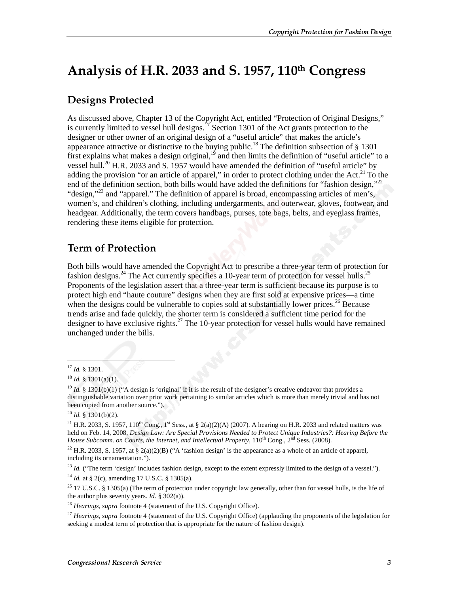### Analysis of H.R. 2033 and S. 1957, 110th Congress

#### **Designs Protected**

As discussed above, Chapter 13 of the Copyright Act, entitled "Protection of Original Designs," is currently limited to vessel hull designs. $17$  Section 1301 of the Act grants protection to the designer or other owner of an original design of a "useful article" that makes the article's appearance attractive or distinctive to the buying public.<sup>18</sup> The definition subsection of § 1301 first explains what makes a design original,  $1<sup>9</sup>$  and then limits the definition of "useful article" to a vessel hull.<sup>20</sup> H.R. 2033 and S. 1957 would have amended the definition of "useful article" by adding the provision "or an article of apparel," in order to protect clothing under the Act. $^{21}$  To the end of the definition section, both bills would have added the definitions for "fashion design,"<sup>22</sup> "design,"<sup>23</sup> and "apparel." The definition of apparel is broad, encompassing articles of men's, women's, and children's clothing, including undergarments, and outerwear, gloves, footwear, and headgear. Additionally, the term covers handbags, purses, tote bags, belts, and eyeglass frames, rendering these items eligible for protection.

#### **Term of Protection**

Both bills would have amended the Copyright Act to prescribe a three-year term of protection for fashion designs.<sup>24</sup> The Act currently specifies a 10-year term of protection for vessel hulls.<sup>25</sup> Proponents of the legislation assert that a three-year term is sufficient because its purpose is to protect high end "haute couture" designs when they are first sold at expensive prices—a time when the designs could be vulnerable to copies sold at substantially lower prices.<sup>26</sup> Because trends arise and fade quickly, the shorter term is considered a sufficient time period for the designer to have exclusive rights.<sup>27</sup> The 10-year protection for vessel hulls would have remained unchanged under the bills.

j

<sup>20</sup> *Id.* § 1301(b)(2).

<sup>22</sup> H.R. 2033, S. 1957, at § 2(a)(2)(B) ("A 'fashion design' is the appearance as a whole of an article of apparel, including its ornamentation.").

<sup>23</sup> *Id.* ("The term 'design' includes fashion design, except to the extent expressly limited to the design of a vessel.").

<sup>24</sup> *Id.* at § 2(c), amending 17 U.S.C. § 1305(a).

<sup>17</sup> *Id.* § 1301.

<sup>18</sup> *Id.* § 1301(a)(1).

<sup>&</sup>lt;sup>19</sup> *Id.* § 1301(b)(1) ("A design is 'original' if it is the result of the designer's creative endeavor that provides a distinguishable variation over prior work pertaining to similar articles which is more than merely trivial and has not been copied from another source.").

<sup>&</sup>lt;sup>21</sup> H.R. 2033, S. 1957, 110<sup>th</sup> Cong., 1<sup>st</sup> Sess., at § 2(a)(2)(A) (2007). A hearing on H.R. 2033 and related matters was held on Feb. 14, 2008, *Design Law: Are Special Provisions Needed to Protect Unique Industries?: Hearing Before the House Subcomm. on Courts, the Internet, and Intellectual Property,* 110<sup>th</sup> Cong., 2<sup>nd</sup> Sess. (2008).

<sup>&</sup>lt;sup>25</sup> 17 U.S.C. § 1305(a) (The term of protection under copyright law generally, other than for vessel hulls, is the life of the author plus seventy years. *Id.*  $\S$  302(a)).

<sup>&</sup>lt;sup>26</sup> *Hearings, supra* footnote 4 (statement of the U.S. Copyright Office).

<sup>&</sup>lt;sup>27</sup> *Hearings, supra* footnote 4 (statement of the U.S. Copyright Office) (applauding the proponents of the legislation for seeking a modest term of protection that is appropriate for the nature of fashion design).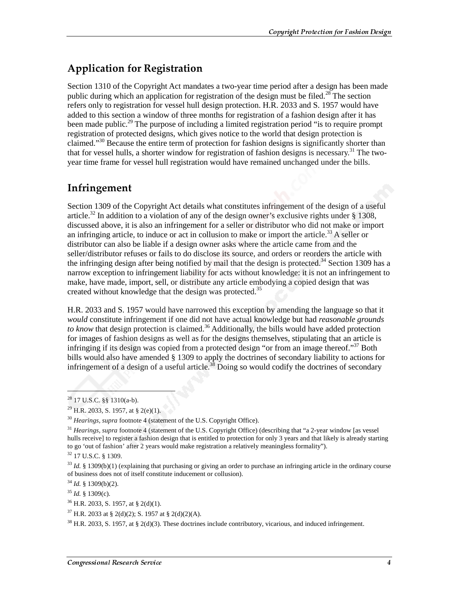#### **Application for Registration**

Section 1310 of the Copyright Act mandates a two-year time period after a design has been made public during which an application for registration of the design must be filed.<sup>28</sup> The section refers only to registration for vessel hull design protection. H.R. 2033 and S. 1957 would have added to this section a window of three months for registration of a fashion design after it has been made public.<sup>29</sup> The purpose of including a limited registration period "is to require prompt registration of protected designs, which gives notice to the world that design protection is claimed."<sup>30</sup> Because the entire term of protection for fashion designs is significantly shorter than that for vessel hulls, a shorter window for registration of fashion designs is necessary.<sup>31</sup> The twoyear time frame for vessel hull registration would have remained unchanged under the bills.

#### Infringement

Section 1309 of the Copyright Act details what constitutes infringement of the design of a useful article.<sup>32</sup> In addition to a violation of any of the design owner's exclusive rights under  $\frac{1}{2}$  1308. discussed above, it is also an infringement for a seller or distributor who did not make or import an infringing article, to induce or act in collusion to make or import the article.<sup>33</sup> A seller or distributor can also be liable if a design owner asks where the article came from and the seller/distributor refuses or fails to do disclose its source, and orders or reorders the article with the infringing design after being notified by mail that the design is protected.<sup>34</sup> Section 1309 has a narrow exception to infringement liability for acts without knowledge: it is not an infringement to make, have made, import, sell, or distribute any article embodying a copied design that was created without knowledge that the design was protected.<sup>35</sup>

H.R. 2033 and S. 1957 would have narrowed this exception by amending the language so that it *would* constitute infringement if one did not have actual knowledge but had *reasonable grounds to know* that design protection is claimed.<sup>36</sup> Additionally, the bills would have added protection for images of fashion designs as well as for the designs themselves, stipulating that an article is infringing if its design was copied from a protected design "or from an image thereof."<sup>37</sup> Both bills would also have amended § 1309 to apply the doctrines of secondary liability to actions for infringement of a design of a useful article.<sup>38</sup> Doing so would codify the doctrines of secondary

 $\overline{a}$ 

 $^{28}$  17 U.S.C. §§ 1310(a-b).

<sup>&</sup>lt;sup>29</sup> H.R. 2033, S. 1957, at § 2(e)(1).

<sup>&</sup>lt;sup>30</sup> *Hearings, supra* footnote 4 (statement of the U.S. Copyright Office).

<sup>&</sup>lt;sup>31</sup> *Hearings. supra* footnote 4 (statement of the U.S. Copyright Office) (describing that "a 2-year window [as vessel hulls receive] to register a fashion design that is entitled to protection for only 3 years and that likely is already starting to go 'out of fashion' after 2 years would make registration a relatively meaningless formality").

<sup>32 17</sup> U.S.C. § 1309.

<sup>33</sup> *Id.* § 1309(b)(1) (explaining that purchasing or giving an order to purchase an infringing article in the ordinary course of business does not of itself constitute inducement or collusion).

<sup>34</sup> *Id.* § 1309(b)(2).

<sup>35</sup> *Id.* § 1309(c).

 $36$  H.R. 2033, S. 1957, at § 2(d)(1).

 $37$  H.R. 2033 at § 2(d)(2); S. 1957 at § 2(d)(2)(A).

 $^{38}$  H.R. 2033, S. 1957, at § 2(d)(3). These doctrines include contributory, vicarious, and induced infringement.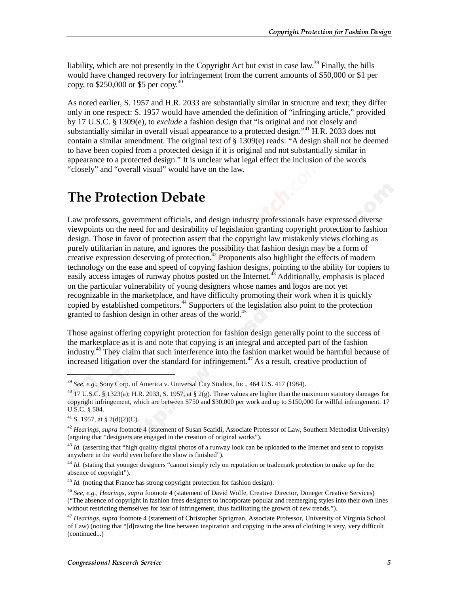liability, which are not presently in the Copyright Act but exist in case law.<sup>39</sup> Finally, the bills would have changed recovery for infringement from the current amounts of \$50,000 or \$1 per copy, to  $$250,000$  or  $$5$  per copy.<sup>40</sup>

As noted earlier, S. 1957 and H.R. 2033 are substantially similar in structure and text; they differ only in one respect: S. 1957 would have amended the definition of "infringing article," provided by 17 U.S.C. § 1309(e), to *exclude* a fashion design that "is original and not closely and substantially similar in overall visual appearance to a protected design."<sup>41</sup> H.R. 2033 does not contain a similar amendment. The original text of § 1309(e) reads: "A design shall not be deemed to have been copied from a protected design if it is original and not substantially similar in appearance to a protected design." It is unclear what legal effect the inclusion of the words "closely" and "overall visual" would have on the law.

### The Protection Debate

Law professors, government officials, and design industry professionals have expressed diverse viewpoints on the need for and desirability of legislation granting copyright protection to fashion design. Those in favor of protection assert that the copyright law mistakenly views clothing as purely utilitarian in nature, and ignores the possibility that fashion design may be a form of creative expression deserving of protection.<sup>42</sup> Proponents also highlight the effects of modern technology on the ease and speed of copying fashion designs, pointing to the ability for copiers to easily access images of runway photos posted on the Internet.<sup>43</sup> Additionally, emphasis is placed on the particular vulnerability of young designers whose names and logos are not yet recognizable in the marketplace, and have difficulty promoting their work when it is quickly copied by established competitors.<sup>44</sup> Supporters of the legislation also point to the protection granted to fashion design in other areas of the world.<sup>45</sup>

Those against offering copyright protection for fashion design generally point to the success of the marketplace as it is and note that copying is an integral and accepted part of the fashion industry.46 They claim that such interference into the fashion market would be harmful because of increased litigation over the standard for infringement.<sup>47</sup> As a result, creative production of

 $\overline{a}$ 

<sup>39</sup> *See, e.g.,* Sony Corp. of America v. Universal City Studios, Inc., 464 U.S. 417 (1984).

<sup>&</sup>lt;sup>40</sup> 17 U.S.C. § 1323(a); H.R. 2033, S. 1957, at § 2(g). These values are higher than the maximum statutory damages for copyright infringement, which are between \$750 and \$30,000 per work and up to \$150,000 for willful infringement. 17 U.S.C. § 504.

<sup>&</sup>lt;sup>41</sup> S. 1957, at § 2(d)(2)(C).

<sup>42</sup> *Hearings, supra* footnote 4 (statement of Susan Scafidi, Associate Professor of Law, Southern Methodist University) (arguing that "designers are engaged in the creation of original works").

<sup>&</sup>lt;sup>43</sup> *Id.* (asserting that "high quality digital photos of a runway look can be uploaded to the Internet and sent to copyists anywhere in the world even before the show is finished").

<sup>&</sup>lt;sup>44</sup> *Id.* (stating that younger designers "cannot simply rely on reputation or trademark protection to make up for the absence of copyright").

<sup>&</sup>lt;sup>45</sup> *Id.* (noting that France has strong copyright protection for fashion design).

<sup>46</sup> *See, e.g., Hearings*, *supra* footnote 4 (statement of David Wolfe, Creative Director, Doneger Creative Services) ("The absence of copyright in fashion frees designers to incorporate popular and reemerging styles into their own lines without restricting themselves for fear of infringement, thus facilitating the growth of new trends.").

<sup>47</sup> *Hearings, supra* footnote 4 (statement of Christopher Sprigman, Associate Professor, University of Virginia School of Law) (noting that "[d]rawing the line between inspiration and copying in the area of clothing is very, very difficult (continued...)